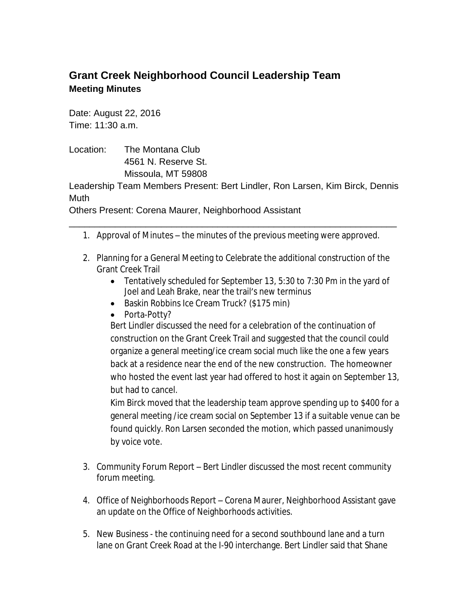## **Grant Creek Neighborhood Council Leadership Team Meeting Minutes**

Date: August 22, 2016 Time: 11:30 a.m.

Location: The Montana Club 4561 N. Reserve St. Missoula, MT 59808

Leadership Team Members Present: Bert Lindler, Ron Larsen, Kim Birck, Dennis Muth

Others Present: Corena Maurer, Neighborhood Assistant

- \_\_\_\_\_\_\_\_\_\_\_\_\_\_\_\_\_\_\_\_\_\_\_\_\_\_\_\_\_\_\_\_\_\_\_\_\_\_\_\_\_\_\_\_\_\_\_\_\_\_\_\_\_\_\_\_\_\_\_\_\_\_\_\_ 1. Approval of Minutes – the minutes of the previous meeting were approved.
	- 2. Planning for a General Meeting to Celebrate the additional construction of the Grant Creek Trail
		- Tentatively scheduled for September 13, 5:30 to 7:30 Pm in the yard of Joel and Leah Brake, near the trail's new terminus
		- **Baskin Robbins Ice Cream Truck? (\$175 min)**
		- Porta-Potty?

Bert Lindler discussed the need for a celebration of the continuation of construction on the Grant Creek Trail and suggested that the council could organize a general meeting/ice cream social much like the one a few years back at a residence near the end of the new construction. The homeowner who hosted the event last year had offered to host it again on September 13, but had to cancel.

Kim Birck moved that the leadership team approve spending up to \$400 for a general meeting /ice cream social on September 13 if a suitable venue can be found quickly. Ron Larsen seconded the motion, which passed unanimously by voice vote.

- 3. Community Forum Report Bert Lindler discussed the most recent community forum meeting.
- 4. Office of Neighborhoods Report Corena Maurer, Neighborhood Assistant gave an update on the Office of Neighborhoods activities.
- 5. New Business the continuing need for a second southbound lane and a turn lane on Grant Creek Road at the I-90 interchange. Bert Lindler said that Shane